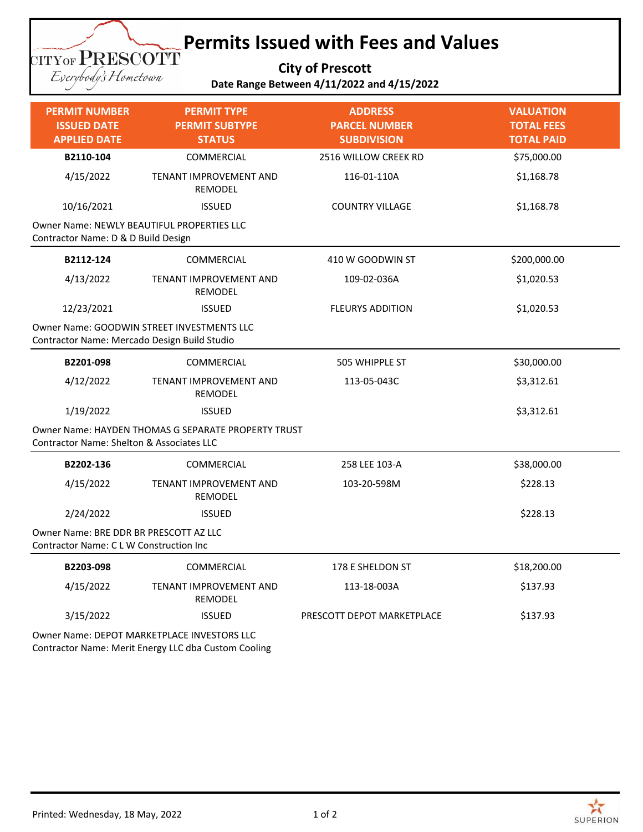## **Permits Issued with Fees and Values**

**City of Prescott**

Everybody's Hometown

|                                            | <b>SILLAND ISLANDIN</b> |  |
|--------------------------------------------|-------------------------|--|
| Date Range Between 4/11/2022 and 4/15/2022 |                         |  |

| <b>PERMIT NUMBER</b><br><b>ISSUED DATE</b><br><b>APPLIED DATE</b>                 | <b>PERMIT TYPE</b><br><b>PERMIT SUBTYPE</b><br><b>STATUS</b>               | <b>ADDRESS</b><br><b>PARCEL NUMBER</b><br><b>SUBDIVISION</b> | <b>VALUATION</b><br><b>TOTAL FEES</b><br><b>TOTAL PAID</b> |
|-----------------------------------------------------------------------------------|----------------------------------------------------------------------------|--------------------------------------------------------------|------------------------------------------------------------|
| B2110-104                                                                         | <b>COMMERCIAL</b>                                                          | 2516 WILLOW CREEK RD                                         | \$75,000.00                                                |
| 4/15/2022                                                                         | TENANT IMPROVEMENT AND<br>REMODEL                                          | 116-01-110A                                                  | \$1,168.78                                                 |
| 10/16/2021                                                                        | <b>ISSUED</b>                                                              | <b>COUNTRY VILLAGE</b>                                       | \$1,168.78                                                 |
| Owner Name: NEWLY BEAUTIFUL PROPERTIES LLC<br>Contractor Name: D & D Build Design |                                                                            |                                                              |                                                            |
| B2112-124                                                                         | COMMERCIAL                                                                 | 410 W GOODWIN ST                                             | \$200,000.00                                               |
| 4/13/2022                                                                         | TENANT IMPROVEMENT AND<br>REMODEL                                          | 109-02-036A                                                  | \$1,020.53                                                 |
| 12/23/2021                                                                        | <b>ISSUED</b>                                                              | <b>FLEURYS ADDITION</b>                                      | \$1,020.53                                                 |
| Contractor Name: Mercado Design Build Studio                                      | Owner Name: GOODWIN STREET INVESTMENTS LLC                                 |                                                              |                                                            |
| B2201-098                                                                         | COMMERCIAL                                                                 | 505 WHIPPLE ST                                               | \$30,000.00                                                |
| 4/12/2022                                                                         | TENANT IMPROVEMENT AND<br>REMODEL                                          | 113-05-043C                                                  | \$3,312.61                                                 |
| 1/19/2022                                                                         | <b>ISSUED</b>                                                              |                                                              | \$3,312.61                                                 |
| <b>Contractor Name: Shelton &amp; Associates LLC</b>                              | Owner Name: HAYDEN THOMAS G SEPARATE PROPERTY TRUST                        |                                                              |                                                            |
| B2202-136                                                                         | COMMERCIAL                                                                 | 258 LEE 103-A                                                | \$38,000.00                                                |
| 4/15/2022                                                                         | TENANT IMPROVEMENT AND<br>REMODEL                                          | 103-20-598M                                                  | \$228.13                                                   |
| 2/24/2022                                                                         | <b>ISSUED</b>                                                              |                                                              | \$228.13                                                   |
| Owner Name: BRE DDR BR PRESCOTT AZ LLC<br>Contractor Name: C L W Construction Inc |                                                                            |                                                              |                                                            |
| B2203-098                                                                         | COMMERCIAL                                                                 | 178 E SHELDON ST                                             | \$18,200.00                                                |
| 4/15/2022                                                                         | <b>TENANT IMPROVEMENT AND</b><br>REMODEL                                   | 113-18-003A                                                  | \$137.93                                                   |
| 3/15/2022                                                                         | <b>ISSUED</b>                                                              | PRESCOTT DEPOT MARKETPLACE                                   | \$137.93                                                   |
|                                                                                   | Owner Name: DEPOT MARKETPLACE INVESTORS LLC<br>$\sim$ $\sim$ $\sim$ $\sim$ |                                                              |                                                            |

Contractor Name: Merit Energy LLC dba Custom Cooling